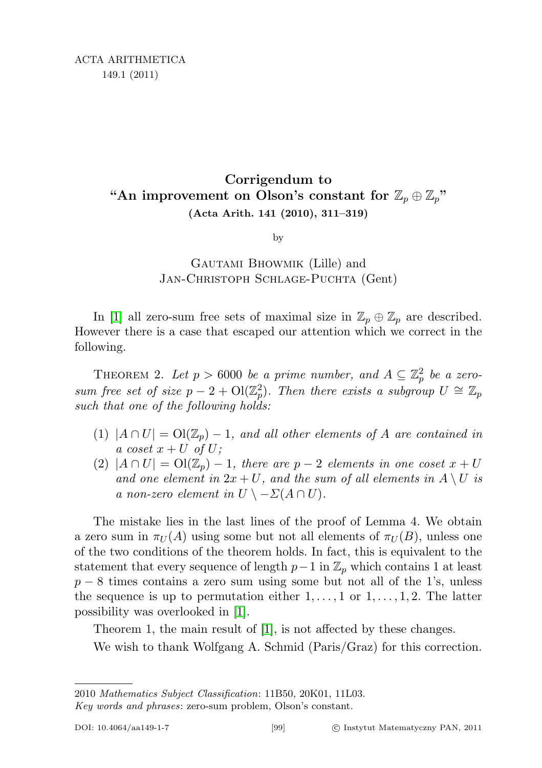## Corrigendum to "An improvement on Olson's constant for  $\mathbb{Z}_p \oplus \mathbb{Z}_p$ " (Acta Arith. 141 (2010), 311–319)

by

## Gautami Bhowmik (Lille) and JAN-CHRISTOPH SCHLAGE-PUCHTA (Gent)

In [\[1\]](#page-1-0) all zero-sum free sets of maximal size in  $\mathbb{Z}_p \oplus \mathbb{Z}_p$  are described. However there is a case that escaped our attention which we correct in the following.

THEOREM 2. Let  $p > 6000$  be a prime number, and  $A \subseteq \mathbb{Z}_p^2$  be a zerosum free set of size  $p-2 + O(\mathbb{Z}_p^2)$ . Then there exists a subgroup  $U \cong \mathbb{Z}_p$ such that one of the following holds:

- (1)  $|A \cap U| = \mathrm{Ol}(\mathbb{Z}_p) 1$ , and all other elements of A are contained in a coset  $x + U$  of U;
- (2)  $|A \cap U| = \mathrm{Ol}(\mathbb{Z}_p) 1$ , there are  $p-2$  elements in one coset  $x + U$ and one element in  $2x + U$ , and the sum of all elements in  $A \setminus U$  is a non-zero element in  $U \setminus -\Sigma(A \cap U)$ .

The mistake lies in the last lines of the proof of Lemma 4. We obtain a zero sum in  $\pi_U(A)$  using some but not all elements of  $\pi_U(B)$ , unless one of the two conditions of the theorem holds. In fact, this is equivalent to the statement that every sequence of length  $p-1$  in  $\mathbb{Z}_p$  which contains 1 at least  $p-8$  times contains a zero sum using some but not all of the 1's, unless the sequence is up to permutation either  $1, \ldots, 1$  or  $1, \ldots, 1, 2$ . The latter possibility was overlooked in [\[1\]](#page-1-0).

Theorem 1, the main result of [\[1\]](#page-1-0), is not affected by these changes.

We wish to thank Wolfgang A. Schmid (Paris/Graz) for this correction.

<sup>2010</sup> Mathematics Subject Classification: 11B50, 20K01, 11L03.

Key words and phrases: zero-sum problem, Olson's constant.